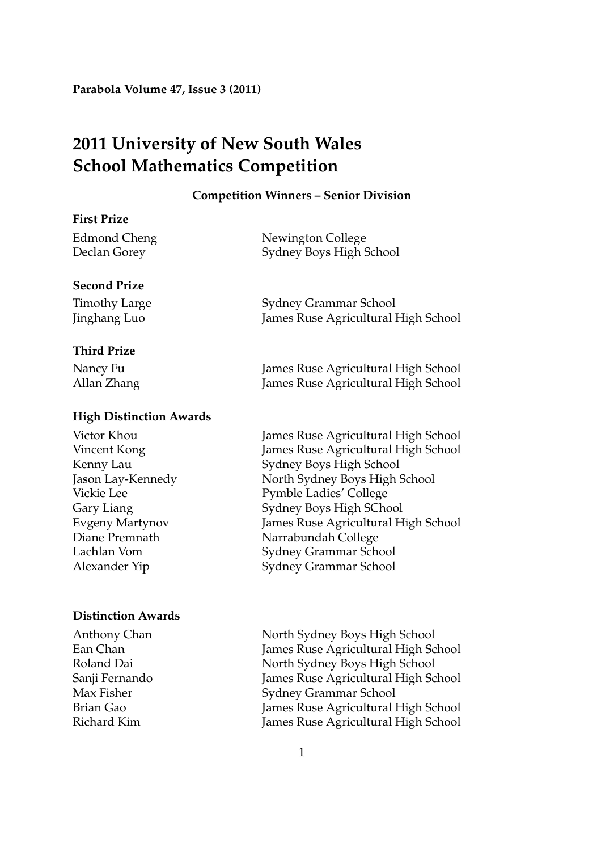# **2011 University of New South Wales School Mathematics Competition**

#### **Competition Winners – Senior Division**

# **First Prize**

Edmond Cheng Newington College Declan Gorey Sydney Boys High School

# **Second Prize**

Timothy Large Sydney Grammar School Jinghang Luo James Ruse Agricultural High School

# **Third Prize**

Nancy Fu James Ruse Agricultural High School Allan Zhang James Ruse Agricultural High School

# **High Distinction Awards**

#### **Distinction Awards**

Victor Khou James Ruse Agricultural High School Vincent Kong James Ruse Agricultural High School Kenny Lau Sydney Boys High School Jason Lay-Kennedy North Sydney Boys High School Vickie Lee Pymble Ladies' College Gary Liang Sydney Boys High SChool Evgeny Martynov James Ruse Agricultural High School Diane Premnath Narrabundah College Lachlan Vom Sydney Grammar School Alexander Yip Sydney Grammar School

Anthony Chan North Sydney Boys High School Ean Chan James Ruse Agricultural High School Roland Dai North Sydney Boys High School Sanji Fernando James Ruse Agricultural High School Max Fisher Sydney Grammar School Brian Gao James Ruse Agricultural High School Richard Kim James Ruse Agricultural High School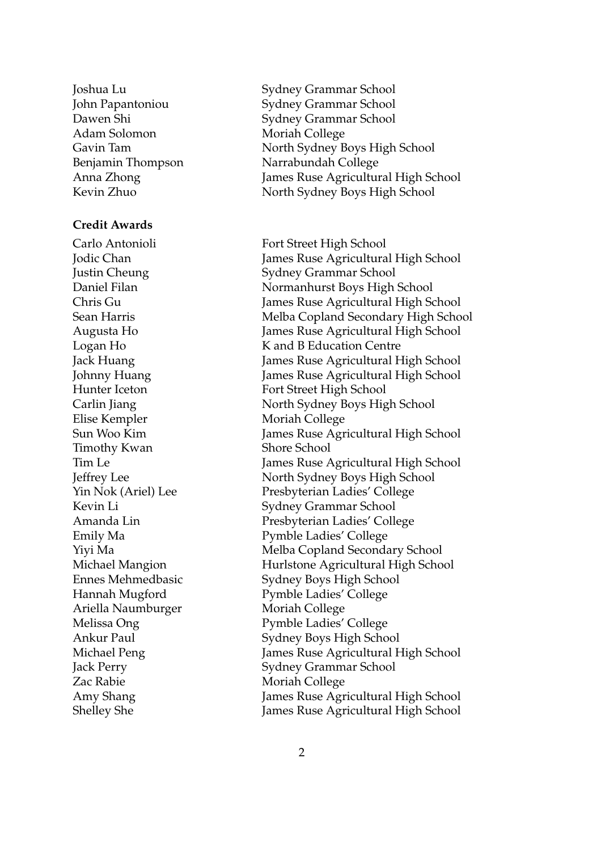Adam Solomon Moriah College

#### **Credit Awards**

Carlo Antonioli Fort Street High School Elise Kempler Moriah College Timothy Kwan Shore School Ariella Naumburger Moriah College Zac Rabie Moriah College

Joshua Lu Sydney Grammar School John Papantoniou Sydney Grammar School Dawen Shi Sydney Grammar School Gavin Tam North Sydney Boys High School Benjamin Thompson Narrabundah College Anna Zhong James Ruse Agricultural High School Kevin Zhuo North Sydney Boys High School

Jodic Chan James Ruse Agricultural High School Justin Cheung Sydney Grammar School Daniel Filan Normanhurst Boys High School Chris Gu James Ruse Agricultural High School Sean Harris Melba Copland Secondary High School Augusta Ho James Ruse Agricultural High School Logan Ho K and B Education Centre Jack Huang James Ruse Agricultural High School Johnny Huang James Ruse Agricultural High School Hunter Iceton Fort Street High School Carlin Jiang North Sydney Boys High School Sun Woo Kim James Ruse Agricultural High School Tim Le James Ruse Agricultural High School Jeffrey Lee North Sydney Boys High School Yin Nok (Ariel) Lee Presbyterian Ladies' College Kevin Li Sydney Grammar School Amanda Lin Presbyterian Ladies' College Emily Ma Pymble Ladies' College Yiyi Ma Melba Copland Secondary School Michael Mangion Hurlstone Agricultural High School Ennes Mehmedbasic Sydney Boys High School Hannah Mugford Pymble Ladies' College Melissa Ong Pymble Ladies' College Ankur Paul Sydney Boys High School Michael Peng James Ruse Agricultural High School Jack Perry Sydney Grammar School Amy Shang James Ruse Agricultural High School Shelley She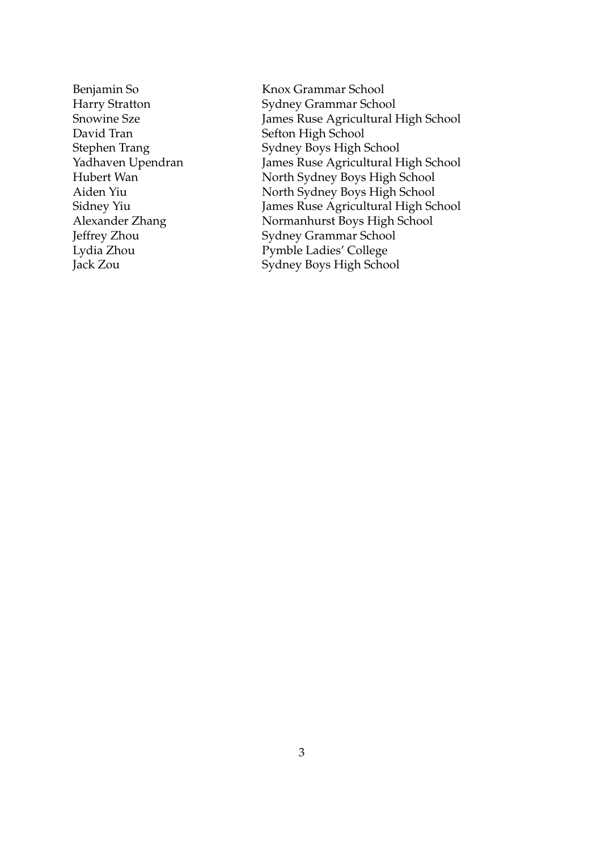David Tran Sefton High School

Benjamin So Knox Grammar School Harry Stratton Sydney Grammar School<br>Snowine Sze Sames Ruse Agricultural I James Ruse Agricultural High School Stephen Trang Sydney Boys High School Yadhaven Upendran James Ruse Agricultural High School Hubert Wan North Sydney Boys High School Aiden Yiu North Sydney Boys High School<br>Sidney Yiu James Ruse Agricultural High Sc Sidney Yiu James Ruse Agricultural High School<br>Alexander Zhang Normanhurst Boys High School Normanhurst Boys High School Jeffrey Zhou Sydney Grammar School Lydia Zhou Pymble Ladies' College Jack Zou Sydney Boys High School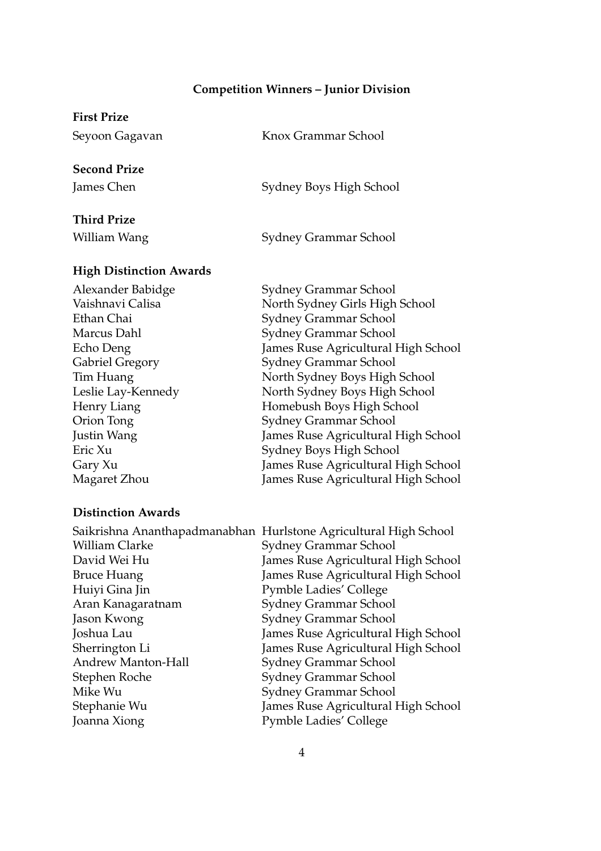# **Competition Winners – Junior Division**

# **First Prize** Seyoon Gagavan Knox Grammar School **Second Prize** James Chen Sydney Boys High School **Third Prize**

William Wang Sydney Grammar School

#### **High Distinction Awards**

Alexander Babidge Sydney Grammar School Vaishnavi Calisa North Sydney Girls High School Ethan Chai Sydney Grammar School Marcus Dahl Sydney Grammar School Echo Deng James Ruse Agricultural High School Gabriel Gregory Sydney Grammar School Tim Huang North Sydney Boys High School Leslie Lay-Kennedy North Sydney Boys High School Henry Liang Homebush Boys High School Orion Tong Sydney Grammar School Justin Wang James Ruse Agricultural High School Eric Xu Sydney Boys High School Gary Xu James Ruse Agricultural High School Magaret Zhou James Ruse Agricultural High School

#### **Distinction Awards**

|                       | Saikrishna Ananthapadmanabhan Hurlstone Agricultural High School |
|-----------------------|------------------------------------------------------------------|
| <b>William Clarke</b> | Sydney Grammar School                                            |
| David Wei Hu          | James Ruse Agricultural High School                              |
| <b>Bruce Huang</b>    | James Ruse Agricultural High School                              |
| Huiyi Gina Jin        | <b>Pymble Ladies' College</b>                                    |
| Aran Kanagaratnam     | Sydney Grammar School                                            |
| Jason Kwong           | Sydney Grammar School                                            |
| Joshua Lau            | James Ruse Agricultural High School                              |
| Sherrington Li        | James Ruse Agricultural High School                              |
| Andrew Manton-Hall    | Sydney Grammar School                                            |
| Stephen Roche         | Sydney Grammar School                                            |
| Mike Wu               | Sydney Grammar School                                            |
| Stephanie Wu          | James Ruse Agricultural High School                              |
| Joanna Xiong          | Pymble Ladies' College                                           |
|                       |                                                                  |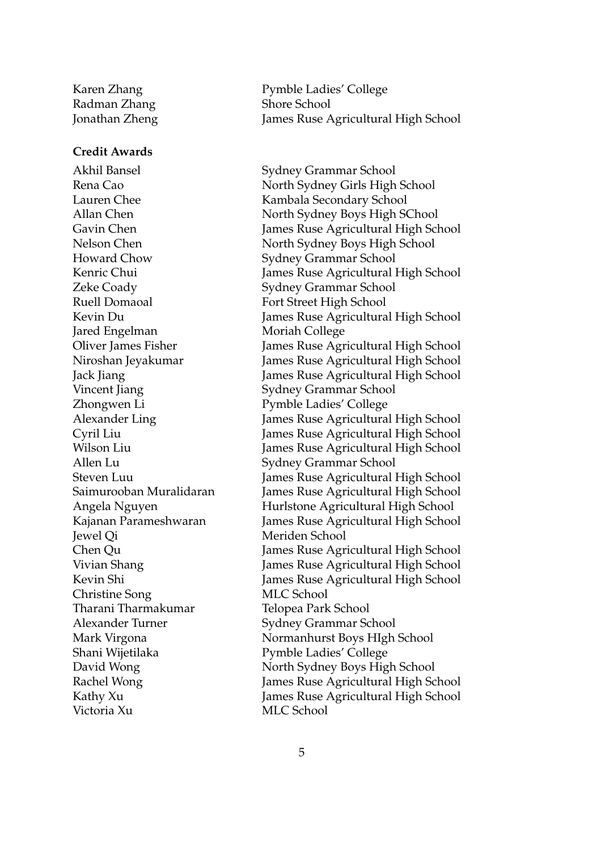Radman Zhang Shore School

#### **Credit Awards**

Howard Chow Sydney Grammar School Zeke Coady Sydney Grammar School Ruell Domaoal Fort Street High School Jared Engelman Moriah College Vincent Jiang Sydney Grammar School Zhongwen Li Pymble Ladies' College Allen Lu Sydney Grammar School Jewel Qi Meriden School Christine Song MLC School Tharani Tharmakumar Telopea Park School Alexander Turner Sydney Grammar School Shani Wijetilaka Pymble Ladies' College Victoria Xu MLC School

Karen Zhang Pymble Ladies' College Jonathan Zheng James Ruse Agricultural High School

Akhil Bansel Sydney Grammar School Rena Cao North Sydney Girls High School Lauren Chee Kambala Secondary School Allan Chen North Sydney Boys High SChool Gavin Chen James Ruse Agricultural High School Nelson Chen North Sydney Boys High School Kenric Chui James Ruse Agricultural High School Kevin Du James Ruse Agricultural High School Oliver James Fisher James Ruse Agricultural High School Niroshan Jeyakumar James Ruse Agricultural High School Jack Jiang James Ruse Agricultural High School Alexander Ling James Ruse Agricultural High School Cyril Liu James Ruse Agricultural High School Wilson Liu **Imes Ruse Agricultural High School** Steven Luu James Ruse Agricultural High School Saimurooban Muralidaran James Ruse Agricultural High School Angela Nguyen Hurlstone Agricultural High School Kajanan Parameshwaran James Ruse Agricultural High School Chen Qu James Ruse Agricultural High School Vivian Shang James Ruse Agricultural High School Kevin Shi James Ruse Agricultural High School Mark Virgona Normanhurst Boys HIgh School David Wong North Sydney Boys High School Rachel Wong James Ruse Agricultural High School Kathy Xu James Ruse Agricultural High School